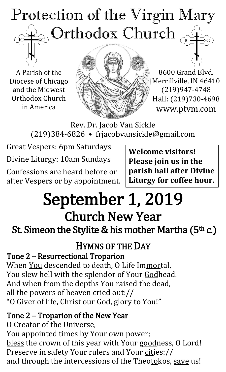## Protection of the Virgin Mary <sub>b</sub> Orthodox Church  $\overline{C}$

A Parish of the Diocese of Chicago and the Midwest Orthodox Church in America



8600 Grand Blvd. Merrillville, IN 46410 (219)947-4748 Hall: (219)730-4698 www.ptvm.com

Rev. Dr. Jacob Van Sickle (219)384-6826 • frjacobvansickle@gmail.com

Great Vespers: 6pm Saturdays

Divine Liturgy: 10am Sundays

Confessions are heard before or after Vespers or by appointment. **Welcome visitors! Please join us in the parish hall after Divine Liturgy for coffee hour.**

# September 1, 2019 Church New Year

St. Simeon the Stylite & his mother Martha (5th c.)

## HYMNS OF THE DAY

#### Tone 2 – Resurrectional Troparion

When You descended to death, O Life Immortal, You slew hell with the splendor of Your Godhead. And when from the depths You raised the dead, all the powers of heaven cried out:// "O Giver of life, Christ our God, glory to You!"

## Tone 2 – Troparion of the New Year

O Creator of the Universe,

You appointed times by Your own power; bless the crown of this year with Your goodness, O Lord! Preserve in safety Your rulers and Your cities:// and through the intercessions of the Theotokos, save us!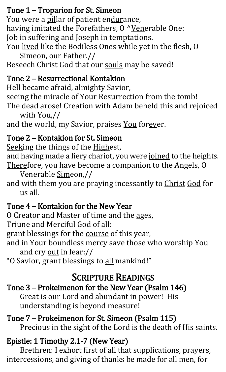## Tone 1 – Troparion for St. Simeon

You were a pillar of patient endurance, having imitated the Forefathers,  $O^{\wedge}$ Venerable One: Job in suffering and Joseph in temptations.

You lived like the Bodiless Ones while yet in the flesh, O Simeon, our Father.//

Beseech Christ God that our souls may be saved!

## Tone 2 – Resurrectional Kontakion

Hell became afraid, almighty Savior, seeing the miracle of Your Resurrection from the tomb! The dead arose! Creation with Adam beheld this and rejoiced with You,//

and the world, my Savior, praises You forever.

## Tone 2 – Kontakion for St. Simeon

Seeking the things of the **Highest**,

and having made a fiery chariot, you were joined to the heights. Therefore, you have become a companion to the Angels, O

Venerable Simeon,//

and with them you are praying incessantly to Christ God for us all.

## Tone 4 – Kontakion for the New Year

O Creator and Master of time and the ages,

Triune and Merciful God of all:

grant blessings for the course of this year,

- and in Your boundless mercy save those who worship You and cry out in fear://
- "O Savior, grant blessings to all mankind!"

## SCRIPTURE READINGS

#### Tone 3 – Prokeimenon for the New Year (Psalm 146) Great is our Lord and abundant in power! His

understanding is beyond measure!

## Tone 7 – Prokeimenon for St. Simeon (Psalm 115)

Precious in the sight of the Lord is the death of His saints.

## Epistle: 1 Timothy 2.1-7 (New Year)

Brethren: I exhort first of all that supplications, prayers, intercessions, and giving of thanks be made for all men, for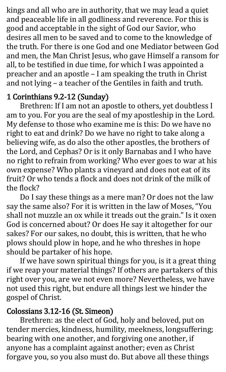kings and all who are in authority, that we may lead a quiet and peaceable life in all godliness and reverence. For this is good and acceptable in the sight of God our Savior, who desires all men to be saved and to come to the knowledge of the truth. For there is one God and one Mediator between God and men, the Man Christ Jesus, who gave Himself a ransom for all, to be testified in due time, for which I was appointed a preacher and an apostle – I am speaking the truth in Christ and not lying – a teacher of the Gentiles in faith and truth.

### 1 Corinthians 9.2-12 (Sunday)

Brethren: If I am not an apostle to others, yet doubtless I am to you. For you are the seal of my apostleship in the Lord. My defense to those who examine me is this: Do we have no right to eat and drink? Do we have no right to take along a believing wife, as do also the other apostles, the brothers of the Lord, and Cephas? Or is it only Barnabas and I who have no right to refrain from working? Who ever goes to war at his own expense? Who plants a vineyard and does not eat of its fruit? Or who tends a flock and does not drink of the milk of the flock?

Do I say these things as a mere man? Or does not the law say the same also? For it is written in the law of Moses, "You shall not muzzle an ox while it treads out the grain." Is it oxen God is concerned about? Or does He say it altogether for our sakes? For our sakes, no doubt, this is written, that he who plows should plow in hope, and he who threshes in hope should be partaker of his hope.

If we have sown spiritual things for you, is it a great thing if we reap your material things? If others are partakers of this right over you, are we not even more? Nevertheless, we have not used this right, but endure all things lest we hinder the gospel of Christ.

#### Colossians 3.12-16 (St. Simeon)

Brethren: as the elect of God, holy and beloved, put on tender mercies, kindness, humility, meekness, longsuffering; bearing with one another, and forgiving one another, if anyone has a complaint against another; even as Christ forgave you, so you also must do. But above all these things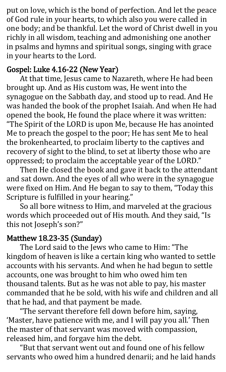put on love, which is the bond of perfection. And let the peace of God rule in your hearts, to which also you were called in one body; and be thankful. Let the word of Christ dwell in you richly in all wisdom, teaching and admonishing one another in psalms and hymns and spiritual songs, singing with grace in your hearts to the Lord.

## Gospel: Luke 4.16-22 (New Year)

At that time, Jesus came to Nazareth, where He had been brought up. And as His custom was, He went into the synagogue on the Sabbath day, and stood up to read. And He was handed the book of the prophet Isaiah. And when He had opened the book, He found the place where it was written: "The Spirit of the LORD is upon Me, because He has anointed Me to preach the gospel to the poor; He has sent Me to heal the brokenhearted, to proclaim liberty to the captives and recovery of sight to the blind, to set at liberty those who are oppressed; to proclaim the acceptable year of the LORD."

Then He closed the book and gave it back to the attendant and sat down. And the eyes of all who were in the synagogue were fixed on Him. And He began to say to them, "Today this Scripture is fulfilled in your hearing."

So all bore witness to Him, and marveled at the gracious words which proceeded out of His mouth. And they said, "Is this not Joseph's son?"

## Matthew 18.23-35 (Sunday)

The Lord said to the Jews who came to Him: "The kingdom of heaven is like a certain king who wanted to settle accounts with his servants. And when he had begun to settle accounts, one was brought to him who owed him ten thousand talents. But as he was not able to pay, his master commanded that he be sold, with his wife and children and all that he had, and that payment be made.

"The servant therefore fell down before him, saying, 'Master, have patience with me, and I will pay you all.' Then the master of that servant was moved with compassion, released him, and forgave him the debt.

"But that servant went out and found one of his fellow servants who owed him a hundred denarii; and he laid hands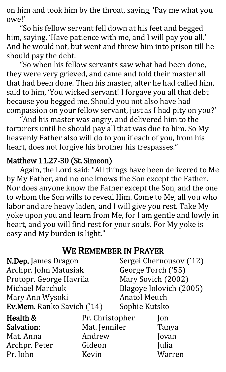on him and took him by the throat, saying, 'Pay me what you owe!'

"So his fellow servant fell down at his feet and begged him, saying, 'Have patience with me, and I will pay you all.' And he would not, but went and threw him into prison till he should pay the debt.

"So when his fellow servants saw what had been done, they were very grieved, and came and told their master all that had been done. Then his master, after he had called him, said to him, 'You wicked servant! I forgave you all that debt because you begged me. Should you not also have had compassion on your fellow servant, just as I had pity on you?'

"And his master was angry, and delivered him to the torturers until he should pay all that was due to him. So My heavenly Father also will do to you if each of you, from his heart, does not forgive his brother his trespasses."

#### Matthew 11.27-30 (St. Simeon)

Again, the Lord said: "All things have been delivered to Me by My Father, and no one knows the Son except the Father. Nor does anyone know the Father except the Son, and the one to whom the Son wills to reveal Him. Come to Me, all you who labor and are heavy laden, and I will give you rest. Take My yoke upon you and learn from Me, for I am gentle and lowly in heart, and you will find rest for your souls. For My yoke is easy and My burden is light."

## WE REMEMBER IN PRAYER

| N.Dep. James Dragon        |                 | Sergei Chernousov ('12) |                         |
|----------------------------|-----------------|-------------------------|-------------------------|
| Archpr. John Matusiak      |                 | George Torch ('55)      |                         |
| Protopr. George Havrila    |                 | Mary Sovich (2002)      |                         |
| Michael Marchuk            |                 |                         | Blagoye Jolovich (2005) |
| Mary Ann Wysoki            |                 | <b>Anatol Meuch</b>     |                         |
| Ev.Mem. Ranko Savich ('14) |                 | Sophie Kutsko           |                         |
| Health &                   | Pr. Christopher |                         | Jon                     |
| Salvation:                 | Mat. Jennifer   |                         | Tanya                   |
| Mat. Anna                  | Andrew          |                         | Jovan                   |
| Archpr. Peter              | Gideon          |                         | Julia                   |
| Pr. John                   | Kevin           |                         | Warren                  |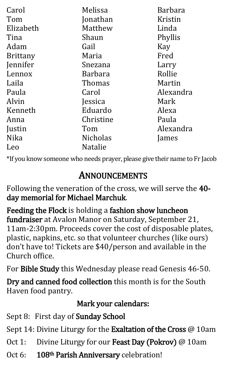| Carol           | Melissa         | <b>Barbara</b> |
|-----------------|-----------------|----------------|
| Tom             | Jonathan        | Kristin        |
| Elizabeth       | Matthew         | Linda          |
| Tina            | Shaun           | Phyllis        |
| Adam            | Gail            | Kay            |
| <b>Brittany</b> | Maria           | Fred           |
| Jennifer        | Snezana         | Larry          |
| Lennox          | Barbara         | Rollie         |
| Laila           | Thomas          | Martin         |
| Paula           | Carol           | Alexandra      |
| Alvin           | Jessica         | Mark           |
| Kenneth         | Eduardo         | Alexa          |
| Anna            | Christine       | Paula          |
| Justin          | Tom             | Alexandra      |
| <b>Nika</b>     | <b>Nicholas</b> | James          |
| Leo             | <b>Natalie</b>  |                |

\*If you know someone who needs prayer, please give their name to Fr Jacob

## ANNOUNCEMENTS

Following the veneration of the cross, we will serve the 40 day memorial for Michael Marchuk.

Feeding the Flock is holding a fashion show luncheon fundraiser at Avalon Manor on Saturday, September 21, 11am-2:30pm. Proceeds cover the cost of disposable plates, plastic, napkins, etc. so that volunteer churches (like ours) don't have to! Tickets are \$40/person and available in the Church office.

For Bible Study this Wednesday please read Genesis 46-50.

Dry and canned food collection this month is for the South Haven food pantry.

## Mark your calendars:

Sept 8: First day of Sunday School

Sept 14: Divine Liturgy for the **Exaltation of the Cross** @ 10am

- Oct 1: Divine Liturgy for our Feast Day (Pokrov) @ 10am
- Oct 6: 108<sup>th</sup> Parish Anniversary celebration!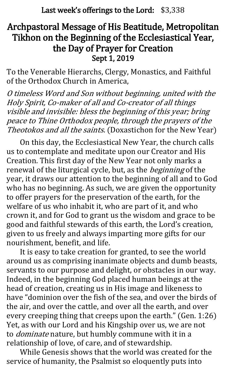## Archpastoral Message of His Beatitude, Metropolitan Tikhon on the Beginning of the Ecclesiastical Year, the Day of Prayer for Creation Sept 1, 2019

To the Venerable Hierarchs, Clergy, Monastics, and Faithful of the Orthodox Church in America,

O timeless Word and Son without beginning, united with the Holy Spirit, Co-maker of all and Co-creator of all things visible and invisible: bless the beginning of this year; bring peace to Thine Orthodox people, through the prayers of the Theotokos and all the saints. (Doxastichon for the New Year)

On this day, the Ecclesiastical New Year, the church calls us to contemplate and meditate upon our Creator and His Creation. This first day of the New Year not only marks a renewal of the liturgical cycle, but, as the *beginning* of the year, it draws our attention to the beginning of all and to God who has no beginning. As such, we are given the opportunity to offer prayers for the preservation of the earth, for the welfare of us who inhabit it, who are part of it, and who crown it, and for God to grant us the wisdom and grace to be good and faithful stewards of this earth, the Lord's creation, given to us freely and always imparting more gifts for our nourishment, benefit, and life.

It is easy to take creation for granted, to see the world around us as comprising inanimate objects and dumb beasts, servants to our purpose and delight, or obstacles in our way. Indeed, in the beginning God placed human beings at the head of creation, creating us in His image and likeness to have "dominion over the fish of the sea, and over the birds of the air, and over the cattle, and over all the earth, and over every creeping thing that creeps upon the earth." (Gen. 1:26) Yet, as with our Lord and his Kingship over us, we are not to *dominate* nature, but humbly commune with it in a relationship of love, of care, and of stewardship.

While Genesis shows that the world was created for the service of humanity, the Psalmist so eloquently puts into